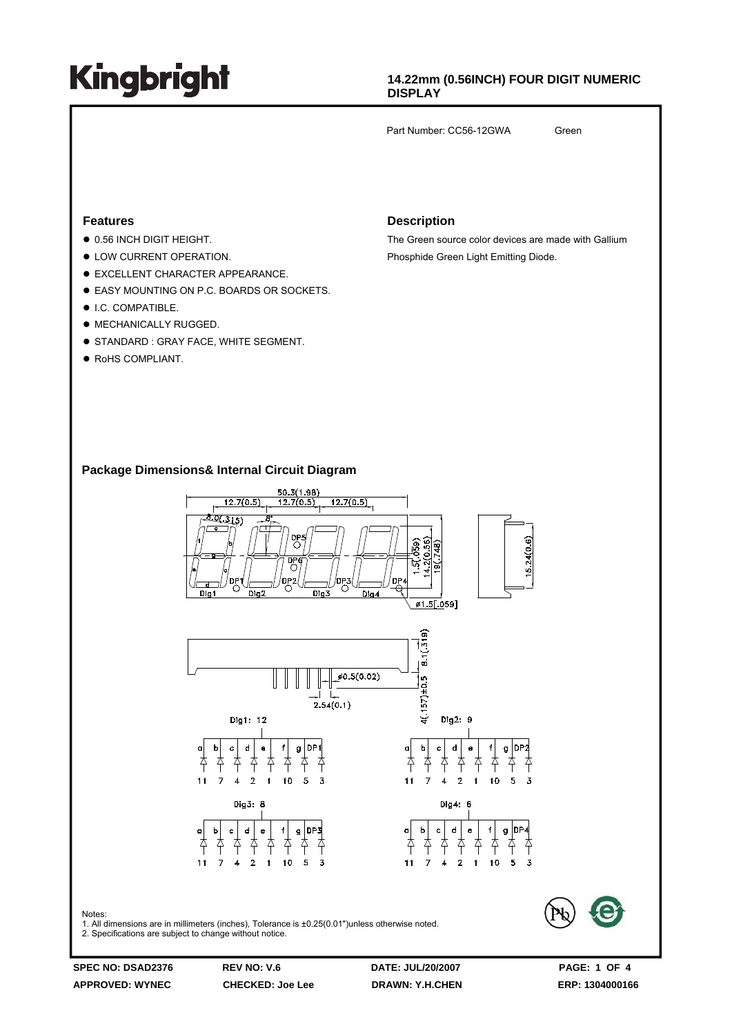### **14.22mm (0.56INCH) FOUR DIGIT NUMERIC DISPLAY**

Part Number: CC56-12GWA Green

#### **Features**

- $\bullet$  0.56 INCH DIGIT HEIGHT.
- $\bullet$  LOW CURRENT OPERATION.
- $\bullet$  EXCELLENT CHARACTER APPEARANCE.
- **EASY MOUNTING ON P.C. BOARDS OR SOCKETS.**
- $\bullet$  I.C. COMPATIBLE.
- $\bullet$  MECHANICALLY RUGGED.
- **STANDARD : GRAY FACE, WHITE SEGMENT.**
- RoHS COMPLIANT.

#### **Description**

The Green source color devices are made with Gallium Phosphide Green Light Emitting Diode.

### **Package Dimensions& Internal Circuit Diagram**

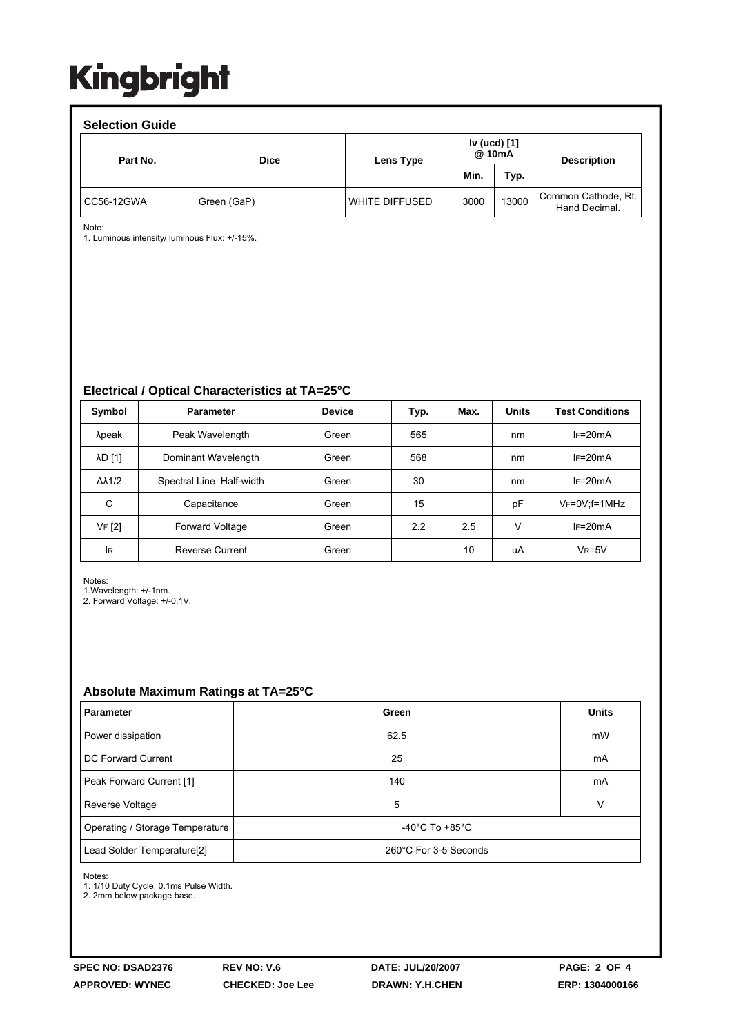| <b>Selection Guide</b> |             |                  |                        |       |                                      |  |  |  |  |  |
|------------------------|-------------|------------------|------------------------|-------|--------------------------------------|--|--|--|--|--|
| Part No.               | <b>Dice</b> | Lens Type        | Iv (ucd) [1]<br>@ 10mA |       | <b>Description</b>                   |  |  |  |  |  |
|                        |             |                  | Min.                   | Typ.  |                                      |  |  |  |  |  |
| CC56-12GWA             | Green (GaP) | l WHITE DIFFUSED | 3000                   | 13000 | Common Cathode, Rt.<br>Hand Decimal. |  |  |  |  |  |

Note:

1. Luminous intensity/ luminous Flux: +/-15%.

**Electrical / Optical Characteristics at TA=25°C**

| Symbol              | <b>Parameter</b>         | <b>Device</b> | Typ. | Max. | <b>Units</b> | <b>Test Conditions</b> |
|---------------------|--------------------------|---------------|------|------|--------------|------------------------|
| λpeak               | Peak Wavelength          | Green         | 565  |      | nm           | $IF=20mA$              |
| λD [1]              | Dominant Wavelength      | Green         | 568  |      | nm           | $IF=20mA$              |
| $\Delta\lambda$ 1/2 | Spectral Line Half-width | Green         | 30   |      | nm           | $IF=20mA$              |
| С                   | Capacitance              | Green         | 15   |      | pF           | $V_F = 0V$ : f = 1MHz  |
| VF [2]              | Forward Voltage          | Green         | 2.2  | 2.5  | ν            | $IF=20mA$              |
| lR                  | <b>Reverse Current</b>   | Green         |      | 10   | uA           | $V_R = 5V$             |

Notes:

1.Wavelength: +/-1nm.

2. Forward Voltage: +/-0.1V.

### **Absolute Maximum Ratings at TA=25°C**

| <b>Parameter</b>                | Green                                | <b>Units</b> |  |  |
|---------------------------------|--------------------------------------|--------------|--|--|
| Power dissipation               | 62.5                                 | mW           |  |  |
| DC Forward Current              | 25                                   | mA           |  |  |
| Peak Forward Current [1]        | 140                                  | mA           |  |  |
| Reverse Voltage                 | 5                                    | v            |  |  |
| Operating / Storage Temperature | -40 $^{\circ}$ C To +85 $^{\circ}$ C |              |  |  |
| Lead Solder Temperature[2]      | 260°C For 3-5 Seconds                |              |  |  |

Notes:

1. 1/10 Duty Cycle, 0.1ms Pulse Width.

2. 2mm below package base.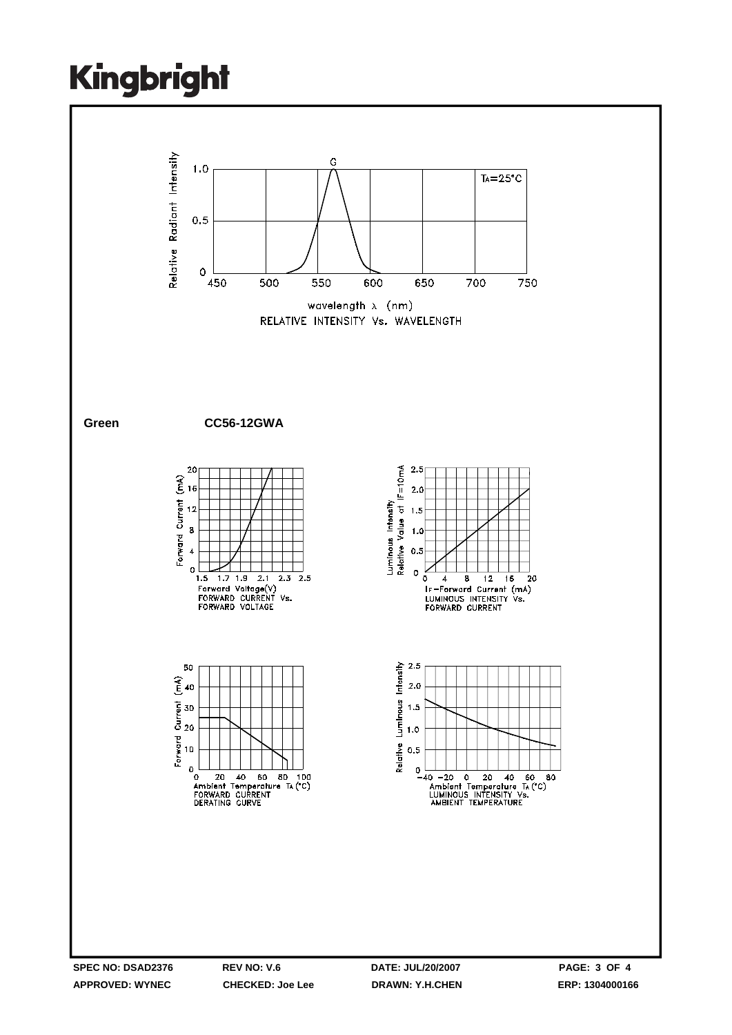